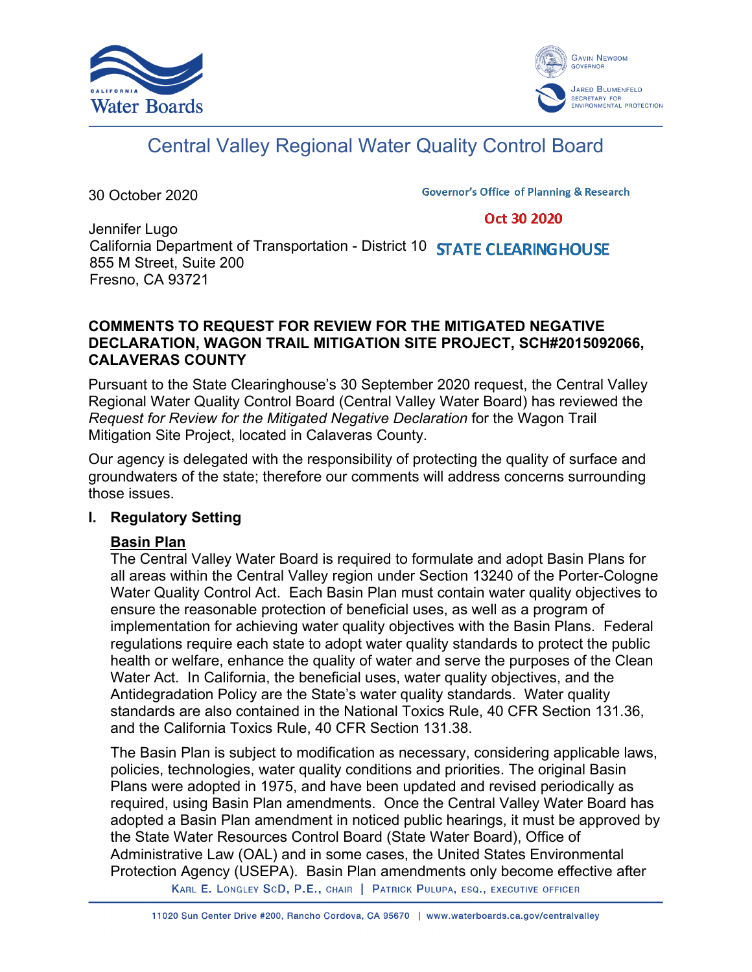



# Central Valley Regional Water Quality Control Board

30 October 2020

**Governor's Office of Planning & Research** 

#### Oct 30 2020

Jennifer Lugo California Department of Transportation - District 10 **STATE CLEARING HOUSE** 855 M Street, Suite 200 Fresno, CA 93721

#### **COMMENTS TO REQUEST FOR REVIEW FOR THE MITIGATED NEGATIVE DECLARATION, WAGON TRAIL MITIGATION SITE PROJECT, SCH#2015092066, CALAVERAS COUNTY**

Pursuant to the State Clearinghouse's 30 September 2020 request, the Central Valley Regional Water Quality Control Board (Central Valley Water Board) has reviewed the *Request for Review for the Mitigated Negative Declaration* for the Wagon Trail Mitigation Site Project, located in Calaveras County.

Our agency is delegated with the responsibility of protecting the quality of surface and groundwaters of the state; therefore our comments will address concerns surrounding those issues.

# **I. Regulatory Setting**

# **Basin Plan**

The Central Valley Water Board is required to formulate and adopt Basin Plans for all areas within the Central Valley region under Section 13240 of the Porter-Cologne Water Quality Control Act. Each Basin Plan must contain water quality objectives to ensure the reasonable protection of beneficial uses, as well as a program of implementation for achieving water quality objectives with the Basin Plans. Federal regulations require each state to adopt water quality standards to protect the public health or welfare, enhance the quality of water and serve the purposes of the Clean Water Act. In California, the beneficial uses, water quality objectives, and the Antidegradation Policy are the State's water quality standards. Water quality standards are also contained in the National Toxics Rule, 40 CFR Section 131.36, and the California Toxics Rule, 40 CFR Section 131.38.

The Basin Plan is subject to modification as necessary, considering applicable laws, policies, technologies, water quality conditions and priorities. The original Basin Plans were adopted in 1975, and have been updated and revised periodically as required, using Basin Plan amendments. Once the Central Valley Water Board has adopted a Basin Plan amendment in noticed public hearings, it must be approved by the State Water Resources Control Board (State Water Board), Office of Administrative Law (OAL) and in some cases, the United States Environmental Protection Agency (USEPA). Basin Plan amendments only become effective after

KARL E. LONGLEY SCD, P.E., CHAIR | PATRICK PULUPA, ESQ., EXECUTIVE OFFICER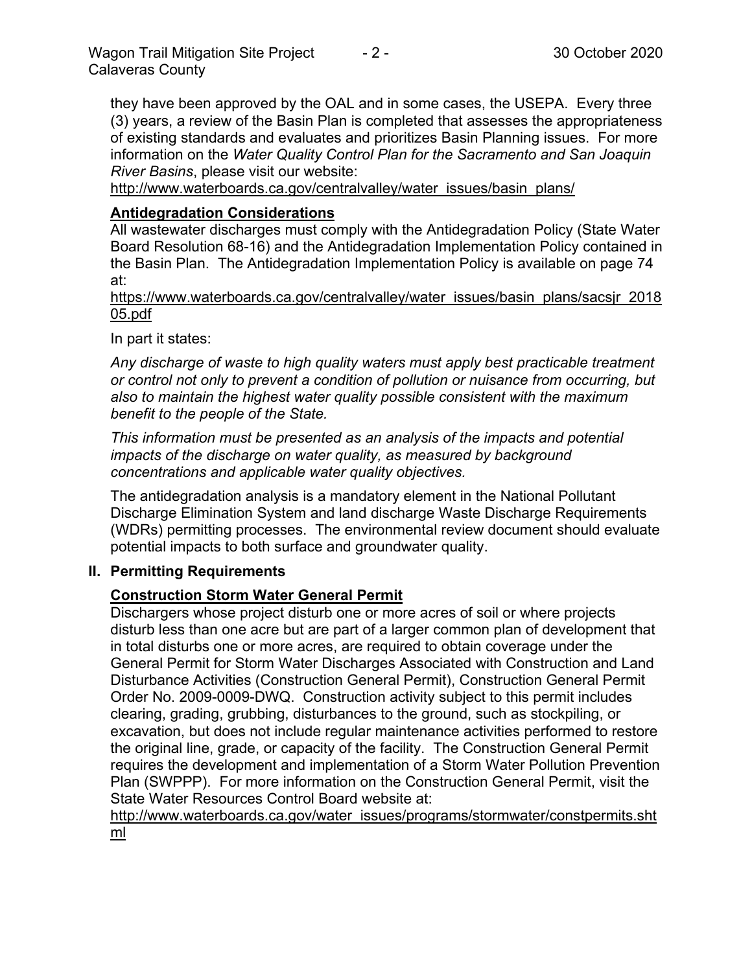they have been approved by the OAL and in some cases, the USEPA. Every three (3) years, a review of the Basin Plan is completed that assesses the appropriateness of existing standards and evaluates and prioritizes Basin Planning issues. For more information on the *Water Quality Control Plan for the Sacramento and San Joaquin River Basins*, please visit our website:

[http://www.waterboards.ca.gov/centralvalley/water\\_issues/basin\\_plans/](http://www.waterboards.ca.gov/centralvalley/water_issues/basin_plans/)

## **Antidegradation Considerations**

All wastewater discharges must comply with the Antidegradation Policy (State Water Board Resolution 68-16) and the Antidegradation Implementation Policy contained in the Basin Plan. The Antidegradation Implementation Policy is available on page 74 at:

https://www.waterboards.ca.gov/centralvalley/water\_issues/basin\_plans/sacsjr\_2018 05.pdf

In part it states:

*Any discharge of waste to high quality waters must apply best practicable treatment or control not only to prevent a condition of pollution or nuisance from occurring, but also to maintain the highest water quality possible consistent with the maximum benefit to the people of the State.*

*This information must be presented as an analysis of the impacts and potential impacts of the discharge on water quality, as measured by background concentrations and applicable water quality objectives.*

The antidegradation analysis is a mandatory element in the National Pollutant Discharge Elimination System and land discharge Waste Discharge Requirements (WDRs) permitting processes. The environmental review document should evaluate potential impacts to both surface and groundwater quality.

#### **II. Permitting Requirements**

# **Construction Storm Water General Permit**

Dischargers whose project disturb one or more acres of soil or where projects disturb less than one acre but are part of a larger common plan of development that in total disturbs one or more acres, are required to obtain coverage under the General Permit for Storm Water Discharges Associated with Construction and Land Disturbance Activities (Construction General Permit), Construction General Permit Order No. 2009-0009-DWQ. Construction activity subject to this permit includes clearing, grading, grubbing, disturbances to the ground, such as stockpiling, or excavation, but does not include regular maintenance activities performed to restore the original line, grade, or capacity of the facility. The Construction General Permit requires the development and implementation of a Storm Water Pollution Prevention Plan (SWPPP). For more information on the Construction General Permit, visit the State Water Resources Control Board website at:

[http://www.waterboards.ca.gov/water\\_issues/programs/stormwater/constpermits.sht](http://www.waterboards.ca.gov/water_issues/programs/stormwater/constpermits.shtml) [ml](http://www.waterboards.ca.gov/water_issues/programs/stormwater/constpermits.shtml)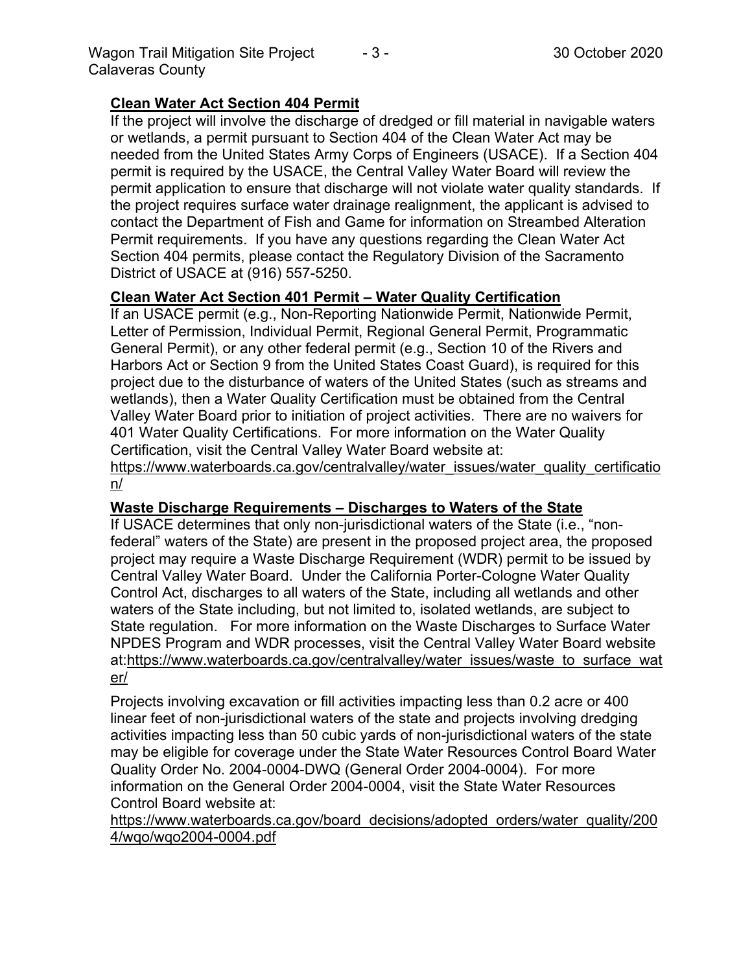# **Clean Water Act Section 404 Permit**

If the project will involve the discharge of dredged or fill material in navigable waters or wetlands, a permit pursuant to Section 404 of the Clean Water Act may be needed from the United States Army Corps of Engineers (USACE). If a Section 404 permit is required by the USACE, the Central Valley Water Board will review the permit application to ensure that discharge will not violate water quality standards. If the project requires surface water drainage realignment, the applicant is advised to contact the Department of Fish and Game for information on Streambed Alteration Permit requirements. If you have any questions regarding the Clean Water Act Section 404 permits, please contact the Regulatory Division of the Sacramento District of USACE at (916) 557-5250.

## **Clean Water Act Section 401 Permit – Water Quality Certification**

If an USACE permit (e.g., Non-Reporting Nationwide Permit, Nationwide Permit, Letter of Permission, Individual Permit, Regional General Permit, Programmatic General Permit), or any other federal permit (e.g., Section 10 of the Rivers and Harbors Act or Section 9 from the United States Coast Guard), is required for this project due to the disturbance of waters of the United States (such as streams and wetlands), then a Water Quality Certification must be obtained from the Central Valley Water Board prior to initiation of project activities. There are no waivers for 401 Water Quality Certifications. For more information on the Water Quality Certification, visit the Central Valley Water Board website at:

https://www.waterboards.ca.gov/centralvalley/water\_issues/water\_quality\_certificatio n/

#### **Waste Discharge Requirements – Discharges to Waters of the State**

If USACE determines that only non-jurisdictional waters of the State (i.e., "nonfederal" waters of the State) are present in the proposed project area, the proposed project may require a Waste Discharge Requirement (WDR) permit to be issued by Central Valley Water Board. Under the California Porter-Cologne Water Quality Control Act, discharges to all waters of the State, including all wetlands and other waters of the State including, but not limited to, isolated wetlands, are subject to State regulation. For more information on the Waste Discharges to Surface Water NPDES Program and WDR processes, visit the Central Valley Water Board website at:https://www.waterboards.ca.gov/centralvalley/water\_issues/waste\_to\_surface\_wat er/

Projects involving excavation or fill activities impacting less than 0.2 acre or 400 linear feet of non-jurisdictional waters of the state and projects involving dredging activities impacting less than 50 cubic yards of non-jurisdictional waters of the state may be eligible for coverage under the State Water Resources Control Board Water Quality Order No. 2004-0004-DWQ (General Order 2004-0004). For more information on the General Order 2004-0004, visit the State Water Resources Control Board website at:

https://www.waterboards.ca.gov/board\_decisions/adopted\_orders/water\_quality/200 4/wqo/wqo2004-0004.pdf